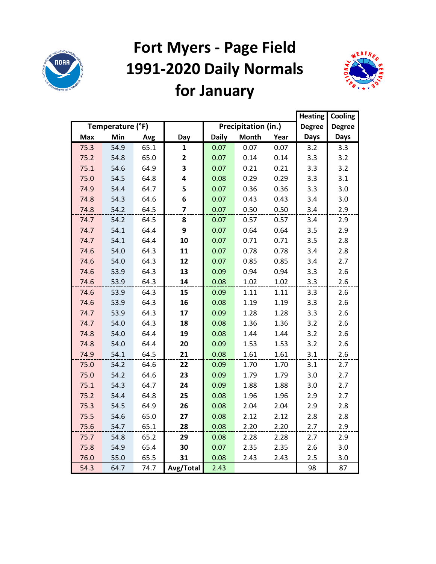

# **Fort Myers - Page Field 1991-2020 Daily Normals for January**



|      |                  |      |              |              |                     |      | <b>Heating</b> | Cooling       |
|------|------------------|------|--------------|--------------|---------------------|------|----------------|---------------|
|      | Temperature (°F) |      |              |              | Precipitation (in.) |      | <b>Degree</b>  | <b>Degree</b> |
| Max  | Min              | Avg  | Day          | <b>Daily</b> | <b>Month</b>        | Year | <b>Days</b>    | <b>Days</b>   |
| 75.3 | 54.9             | 65.1 | 1            | 0.07         | 0.07                | 0.07 | 3.2            | 3.3           |
| 75.2 | 54.8             | 65.0 | $\mathbf{2}$ | 0.07         | 0.14                | 0.14 | 3.3            | 3.2           |
| 75.1 | 54.6             | 64.9 | 3            | 0.07         | 0.21                | 0.21 | 3.3            | 3.2           |
| 75.0 | 54.5             | 64.8 | 4            | 0.08         | 0.29                | 0.29 | 3.3            | 3.1           |
| 74.9 | 54.4             | 64.7 | 5            | 0.07         | 0.36                | 0.36 | 3.3            | 3.0           |
| 74.8 | 54.3             | 64.6 | 6            | 0.07         | 0.43                | 0.43 | 3.4            | 3.0           |
| 74.8 | 54.2             | 64.5 | 7            | 0.07         | 0.50                | 0.50 | 3.4            | 2.9           |
| 74.7 | 54.2             | 64.5 | 8            | 0.07         | 0.57                | 0.57 | 3.4            | 2.9           |
| 74.7 | 54.1             | 64.4 | 9            | 0.07         | 0.64                | 0.64 | 3.5            | 2.9           |
| 74.7 | 54.1             | 64.4 | 10           | 0.07         | 0.71                | 0.71 | 3.5            | 2.8           |
| 74.6 | 54.0             | 64.3 | 11           | 0.07         | 0.78                | 0.78 | 3.4            | 2.8           |
| 74.6 | 54.0             | 64.3 | 12           | 0.07         | 0.85                | 0.85 | 3.4            | 2.7           |
| 74.6 | 53.9             | 64.3 | 13           | 0.09         | 0.94                | 0.94 | 3.3            | 2.6           |
| 74.6 | 53.9             | 64.3 | 14           | 0.08         | 1.02                | 1.02 | 3.3            | 2.6           |
| 74.6 | 53.9             | 64.3 | 15           | 0.09         | 1.11                | 1.11 | 3.3            | 2.6           |
| 74.6 | 53.9             | 64.3 | 16           | 0.08         | 1.19                | 1.19 | 3.3            | 2.6           |
| 74.7 | 53.9             | 64.3 | 17           | 0.09         | 1.28                | 1.28 | 3.3            | 2.6           |
| 74.7 | 54.0             | 64.3 | 18           | 0.08         | 1.36                | 1.36 | 3.2            | 2.6           |
| 74.8 | 54.0             | 64.4 | 19           | 0.08         | 1.44                | 1.44 | 3.2            | 2.6           |
| 74.8 | 54.0             | 64.4 | 20           | 0.09         | 1.53                | 1.53 | 3.2            | 2.6           |
| 74.9 | 54.1             | 64.5 | 21           | 0.08         | 1.61                | 1.61 | 3.1            | 2.6           |
| 75.0 | 54.2             | 64.6 | 22           | 0.09         | 1.70                | 1.70 | 3.1            | 2.7           |
| 75.0 | 54.2             | 64.6 | 23           | 0.09         | 1.79                | 1.79 | 3.0            | 2.7           |
| 75.1 | 54.3             | 64.7 | 24           | 0.09         | 1.88                | 1.88 | 3.0            | 2.7           |
| 75.2 | 54.4             | 64.8 | 25           | 0.08         | 1.96                | 1.96 | 2.9            | 2.7           |
| 75.3 | 54.5             | 64.9 | 26           | 0.08         | 2.04                | 2.04 | 2.9            | 2.8           |
| 75.5 | 54.6             | 65.0 | 27           | 0.08         | 2.12                | 2.12 | 2.8            | 2.8           |
| 75.6 | 54.7             | 65.1 | 28           | 0.08         | 2.20                | 2.20 | 2.7            | 2.9           |
| 75.7 | 54.8             | 65.2 | 29           | 0.08         | 2.28                | 2.28 | 2.7            | 2.9           |
| 75.8 | 54.9             | 65.4 | 30           | 0.07         | 2.35                | 2.35 | 2.6            | 3.0           |
| 76.0 | 55.0             | 65.5 | 31           | 0.08         | 2.43                | 2.43 | 2.5            | 3.0           |
| 54.3 | 64.7             | 74.7 | Avg/Total    | 2.43         |                     |      | 98             | 87            |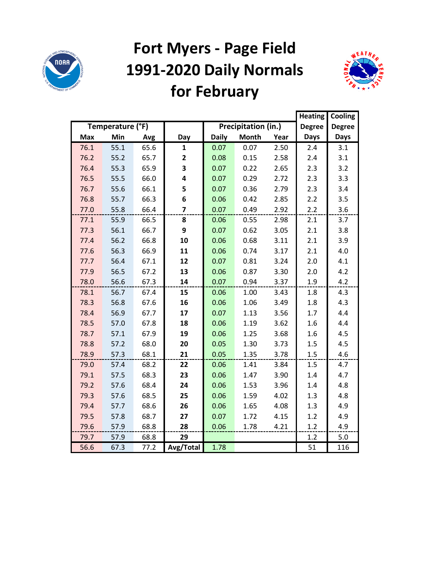

## **Fort Myers - Page Field 1991-2020 Daily Normals for February**



|            |                  |      |                         |              |                     |      | <b>Heating</b> | Cooling       |
|------------|------------------|------|-------------------------|--------------|---------------------|------|----------------|---------------|
|            | Temperature (°F) |      |                         |              | Precipitation (in.) |      | <b>Degree</b>  | <b>Degree</b> |
| <b>Max</b> | Min              | Avg  | Day                     | <b>Daily</b> | <b>Month</b>        | Year | <b>Days</b>    | <b>Days</b>   |
| 76.1       | 55.1             | 65.6 | $\mathbf{1}$            | 0.07         | 0.07                | 2.50 | 2.4            | 3.1           |
| 76.2       | 55.2             | 65.7 | $\overline{2}$          | 0.08         | 0.15                | 2.58 | 2.4            | 3.1           |
| 76.4       | 55.3             | 65.9 | 3                       | 0.07         | 0.22                | 2.65 | 2.3            | 3.2           |
| 76.5       | 55.5             | 66.0 | 4                       | 0.07         | 0.29                | 2.72 | 2.3            | 3.3           |
| 76.7       | 55.6             | 66.1 | 5                       | 0.07         | 0.36                | 2.79 | 2.3            | 3.4           |
| 76.8       | 55.7             | 66.3 | 6                       | 0.06         | 0.42                | 2.85 | 2.2            | 3.5           |
| 77.0       | 55.8             | 66.4 | $\overline{\mathbf{z}}$ | 0.07         | 0.49                | 2.92 | 2.2            | 3.6           |
| 77.1       | 55.9             | 66.5 | 8                       | 0.06         | 0.55                | 2.98 | 2.1            | 3.7           |
| 77.3       | 56.1             | 66.7 | 9                       | 0.07         | 0.62                | 3.05 | 2.1            | 3.8           |
| 77.4       | 56.2             | 66.8 | 10                      | 0.06         | 0.68                | 3.11 | 2.1            | 3.9           |
| 77.6       | 56.3             | 66.9 | 11                      | 0.06         | 0.74                | 3.17 | 2.1            | 4.0           |
| 77.7       | 56.4             | 67.1 | 12                      | 0.07         | 0.81                | 3.24 | 2.0            | 4.1           |
| 77.9       | 56.5             | 67.2 | 13                      | 0.06         | 0.87                | 3.30 | 2.0            | 4.2           |
| 78.0       | 56.6             | 67.3 | 14                      | 0.07         | 0.94                | 3.37 | 1.9            | 4.2           |
| 78.1       | 56.7             | 67.4 | 15                      | 0.06         | 1.00                | 3.43 | 1.8            | 4.3           |
| 78.3       | 56.8             | 67.6 | 16                      | 0.06         | 1.06                | 3.49 | 1.8            | 4.3           |
| 78.4       | 56.9             | 67.7 | 17                      | 0.07         | 1.13                | 3.56 | 1.7            | 4.4           |
| 78.5       | 57.0             | 67.8 | 18                      | 0.06         | 1.19                | 3.62 | 1.6            | 4.4           |
| 78.7       | 57.1             | 67.9 | 19                      | 0.06         | 1.25                | 3.68 | 1.6            | 4.5           |
| 78.8       | 57.2             | 68.0 | 20                      | 0.05         | 1.30                | 3.73 | 1.5            | 4.5           |
| 78.9       | 57.3             | 68.1 | 21                      | 0.05         | 1.35                | 3.78 | 1.5            | 4.6           |
| 79.0       | 57.4             | 68.2 | 22                      | 0.06         | 1.41                | 3.84 | 1.5            | 4.7           |
| 79.1       | 57.5             | 68.3 | 23                      | 0.06         | 1.47                | 3.90 | 1.4            | 4.7           |
| 79.2       | 57.6             | 68.4 | 24                      | 0.06         | 1.53                | 3.96 | 1.4            | 4.8           |
| 79.3       | 57.6             | 68.5 | 25                      | 0.06         | 1.59                | 4.02 | 1.3            | 4.8           |
| 79.4       | 57.7             | 68.6 | 26                      | 0.06         | 1.65                | 4.08 | 1.3            | 4.9           |
| 79.5       | 57.8             | 68.7 | 27                      | 0.07         | 1.72                | 4.15 | 1.2            | 4.9           |
| 79.6       | 57.9             | 68.8 | 28                      | 0.06         | 1.78                | 4.21 | 1.2            | 4.9           |
| 79.7       | 57.9             | 68.8 | 29                      |              |                     |      | 1.2            | 5.0           |
| 56.6       | 67.3             | 77.2 | Avg/Total               | 1.78         |                     |      | 51             | 116           |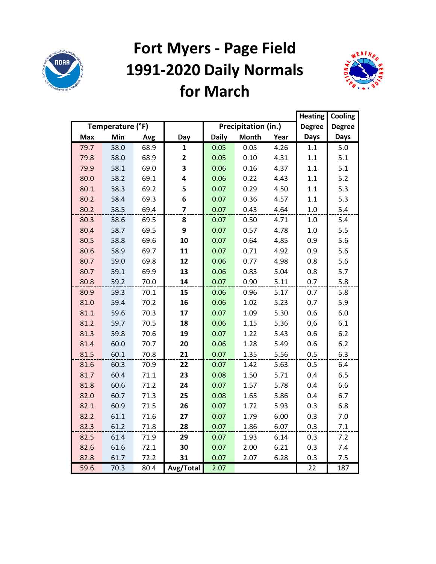

## **Fort Myers - Page Field 1991-2020 Daily Normals for March**



|      |                  |      |                         |              |                     |      | <b>Heating</b> | Cooling       |
|------|------------------|------|-------------------------|--------------|---------------------|------|----------------|---------------|
|      | Temperature (°F) |      |                         |              | Precipitation (in.) |      | <b>Degree</b>  | <b>Degree</b> |
| Max  | Min              | Avg  | Day                     | <b>Daily</b> | <b>Month</b>        | Year | <b>Days</b>    | <b>Days</b>   |
| 79.7 | 58.0             | 68.9 | 1                       | 0.05         | 0.05                | 4.26 | 1.1            | 5.0           |
| 79.8 | 58.0             | 68.9 | 2                       | 0.05         | 0.10                | 4.31 | 1.1            | 5.1           |
| 79.9 | 58.1             | 69.0 | 3                       | 0.06         | 0.16                | 4.37 | 1.1            | 5.1           |
| 80.0 | 58.2             | 69.1 | 4                       | 0.06         | 0.22                | 4.43 | 1.1            | $5.2$         |
| 80.1 | 58.3             | 69.2 | 5                       | 0.07         | 0.29                | 4.50 | 1.1            | 5.3           |
| 80.2 | 58.4             | 69.3 | 6                       | 0.07         | 0.36                | 4.57 | 1.1            | 5.3           |
| 80.2 | 58.5             | 69.4 | $\overline{\mathbf{z}}$ | 0.07         | 0.43                | 4.64 | $1.0\,$        | 5.4           |
| 80.3 | 58.6             | 69.5 | 8                       | 0.07         | 0.50                | 4.71 | 1.0            | 5.4           |
| 80.4 | 58.7             | 69.5 | 9                       | 0.07         | 0.57                | 4.78 | 1.0            | 5.5           |
| 80.5 | 58.8             | 69.6 | 10                      | 0.07         | 0.64                | 4.85 | 0.9            | 5.6           |
| 80.6 | 58.9             | 69.7 | 11                      | 0.07         | 0.71                | 4.92 | 0.9            | 5.6           |
| 80.7 | 59.0             | 69.8 | 12                      | 0.06         | 0.77                | 4.98 | 0.8            | 5.6           |
| 80.7 | 59.1             | 69.9 | 13                      | 0.06         | 0.83                | 5.04 | 0.8            | 5.7           |
| 80.8 | 59.2             | 70.0 | 14                      | 0.07         | 0.90                | 5.11 | 0.7            | 5.8           |
| 80.9 | 59.3             | 70.1 | 15                      | 0.06         | 0.96                | 5.17 | 0.7            | 5.8           |
| 81.0 | 59.4             | 70.2 | 16                      | 0.06         | 1.02                | 5.23 | 0.7            | 5.9           |
| 81.1 | 59.6             | 70.3 | 17                      | 0.07         | 1.09                | 5.30 | 0.6            | 6.0           |
| 81.2 | 59.7             | 70.5 | 18                      | 0.06         | 1.15                | 5.36 | 0.6            | 6.1           |
| 81.3 | 59.8             | 70.6 | 19                      | 0.07         | 1.22                | 5.43 | 0.6            | 6.2           |
| 81.4 | 60.0             | 70.7 | 20                      | 0.06         | 1.28                | 5.49 | 0.6            | 6.2           |
| 81.5 | 60.1             | 70.8 | 21                      | 0.07         | 1.35                | 5.56 | 0.5            | 6.3           |
| 81.6 | 60.3             | 70.9 | 22                      | 0.07         | 1.42                | 5.63 | 0.5            | 6.4           |
| 81.7 | 60.4             | 71.1 | 23                      | 0.08         | 1.50                | 5.71 | 0.4            | 6.5           |
| 81.8 | 60.6             | 71.2 | 24                      | 0.07         | 1.57                | 5.78 | 0.4            | 6.6           |
| 82.0 | 60.7             | 71.3 | 25                      | 0.08         | 1.65                | 5.86 | 0.4            | 6.7           |
| 82.1 | 60.9             | 71.5 | 26                      | 0.07         | 1.72                | 5.93 | 0.3            | 6.8           |
| 82.2 | 61.1             | 71.6 | 27                      | 0.07         | 1.79                | 6.00 | 0.3            | 7.0           |
| 82.3 | 61.2             | 71.8 | 28                      | 0.07         | 1.86                | 6.07 | 0.3            | 7.1           |
| 82.5 | 61.4             | 71.9 | 29                      | 0.07         | 1.93                | 6.14 | 0.3            | 7.2           |
| 82.6 | 61.6             | 72.1 | 30                      | 0.07         | 2.00                | 6.21 | 0.3            | 7.4           |
| 82.8 | 61.7             | 72.2 | 31                      | 0.07         | 2.07                | 6.28 | 0.3            | 7.5           |
| 59.6 | 70.3             | 80.4 | Avg/Total               | 2.07         |                     |      | 22             | 187           |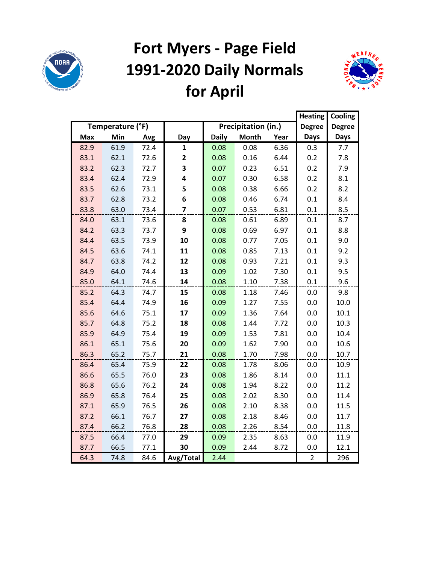

# **Fort Myers - Page Field 1991-2020 Daily Normals for April**



|            |                  |      |                |              |                     |      | <b>Heating</b> | Cooling       |
|------------|------------------|------|----------------|--------------|---------------------|------|----------------|---------------|
|            | Temperature (°F) |      |                |              | Precipitation (in.) |      | <b>Degree</b>  | <b>Degree</b> |
| <b>Max</b> | Min              | Avg  | Day            | <b>Daily</b> | <b>Month</b>        | Year | <b>Days</b>    | <b>Days</b>   |
| 82.9       | 61.9             | 72.4 | $\mathbf{1}$   | 0.08         | 0.08                | 6.36 | 0.3            | 7.7           |
| 83.1       | 62.1             | 72.6 | 2              | 0.08         | 0.16                | 6.44 | 0.2            | 7.8           |
| 83.2       | 62.3             | 72.7 | 3              | 0.07         | 0.23                | 6.51 | 0.2            | 7.9           |
| 83.4       | 62.4             | 72.9 | 4              | 0.07         | 0.30                | 6.58 | 0.2            | 8.1           |
| 83.5       | 62.6             | 73.1 | 5              | 0.08         | 0.38                | 6.66 | 0.2            | 8.2           |
| 83.7       | 62.8             | 73.2 | 6              | 0.08         | 0.46                | 6.74 | 0.1            | 8.4           |
| 83.8       | 63.0             | 73.4 | $\overline{7}$ | 0.07         | 0.53                | 6.81 | 0.1            | 8.5           |
| 84.0       | 63.1             | 73.6 | 8              | 0.08         | 0.61                | 6.89 | 0.1            | 8.7           |
| 84.2       | 63.3             | 73.7 | 9              | 0.08         | 0.69                | 6.97 | 0.1            | 8.8           |
| 84.4       | 63.5             | 73.9 | 10             | 0.08         | 0.77                | 7.05 | 0.1            | 9.0           |
| 84.5       | 63.6             | 74.1 | 11             | 0.08         | 0.85                | 7.13 | 0.1            | 9.2           |
| 84.7       | 63.8             | 74.2 | 12             | 0.08         | 0.93                | 7.21 | 0.1            | 9.3           |
| 84.9       | 64.0             | 74.4 | 13             | 0.09         | 1.02                | 7.30 | 0.1            | 9.5           |
| 85.0       | 64.1             | 74.6 | 14             | 0.08         | 1.10                | 7.38 | 0.1            | 9.6           |
| 85.2       | 64.3             | 74.7 | 15             | 0.08         | 1.18                | 7.46 | 0.0            | 9.8           |
| 85.4       | 64.4             | 74.9 | 16             | 0.09         | 1.27                | 7.55 | 0.0            | 10.0          |
| 85.6       | 64.6             | 75.1 | 17             | 0.09         | 1.36                | 7.64 | 0.0            | 10.1          |
| 85.7       | 64.8             | 75.2 | 18             | 0.08         | 1.44                | 7.72 | 0.0            | 10.3          |
| 85.9       | 64.9             | 75.4 | 19             | 0.09         | 1.53                | 7.81 | 0.0            | 10.4          |
| 86.1       | 65.1             | 75.6 | 20             | 0.09         | 1.62                | 7.90 | 0.0            | 10.6          |
| 86.3       | 65.2             | 75.7 | 21             | 0.08         | 1.70                | 7.98 | 0.0            | 10.7          |
| 86.4       | 65.4             | 75.9 | 22             | 0.08         | 1.78                | 8.06 | 0.0            | 10.9          |
| 86.6       | 65.5             | 76.0 | 23             | 0.08         | 1.86                | 8.14 | 0.0            | 11.1          |
| 86.8       | 65.6             | 76.2 | 24             | 0.08         | 1.94                | 8.22 | 0.0            | 11.2          |
| 86.9       | 65.8             | 76.4 | 25             | 0.08         | 2.02                | 8.30 | 0.0            | 11.4          |
| 87.1       | 65.9             | 76.5 | 26             | 0.08         | 2.10                | 8.38 | 0.0            | 11.5          |
| 87.2       | 66.1             | 76.7 | 27             | 0.08         | 2.18                | 8.46 | 0.0            | 11.7          |
| 87.4       | 66.2             | 76.8 | 28             | 0.08         | 2.26                | 8.54 | 0.0            | 11.8          |
| 87.5       | 66.4             | 77.0 | 29             | 0.09         | 2.35                | 8.63 | 0.0            | 11.9          |
| 87.7       | 66.5             | 77.1 | 30             | 0.09         | 2.44                | 8.72 | 0.0            | 12.1          |
| 64.3       | 74.8             | 84.6 | Avg/Total      | 2.44         |                     |      | $\overline{2}$ | 296           |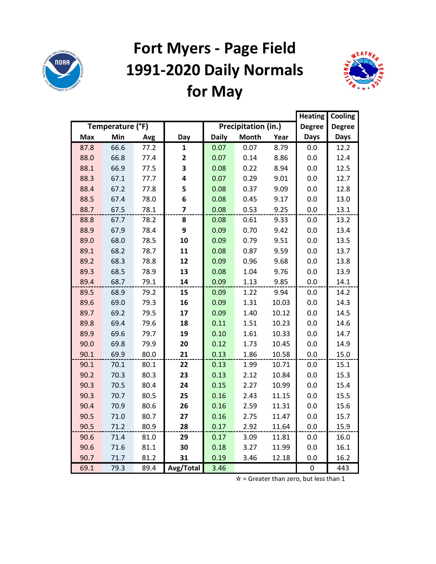

## **Fort Myers - Page Field 1991-2020 Daily Normals for May**



|            |                  |      |           |              |                     |       | <b>Heating</b> | Cooling       |
|------------|------------------|------|-----------|--------------|---------------------|-------|----------------|---------------|
|            | Temperature (°F) |      |           |              | Precipitation (in.) |       | <b>Degree</b>  | <b>Degree</b> |
| <b>Max</b> | Min              | Avg  | Day       | <b>Daily</b> | <b>Month</b>        | Year  | <b>Days</b>    | <b>Days</b>   |
| 87.8       | 66.6             | 77.2 | 1         | 0.07         | 0.07                | 8.79  | 0.0            | 12.2          |
| 88.0       | 66.8             | 77.4 | 2         | 0.07         | 0.14                | 8.86  | 0.0            | 12.4          |
| 88.1       | 66.9             | 77.5 | 3         | 0.08         | 0.22                | 8.94  | 0.0            | 12.5          |
| 88.3       | 67.1             | 77.7 | 4         | 0.07         | 0.29                | 9.01  | 0.0            | 12.7          |
| 88.4       | 67.2             | 77.8 | 5         | 0.08         | 0.37                | 9.09  | 0.0            | 12.8          |
| 88.5       | 67.4             | 78.0 | 6         | 0.08         | 0.45                | 9.17  | 0.0            | 13.0          |
| 88.7       | 67.5             | 78.1 | 7         | 0.08         | 0.53                | 9.25  | 0.0            | 13.1          |
| 88.8       | 67.7             | 78.2 | 8         | 0.08         | 0.61                | 9.33  | 0.0            | 13.2          |
| 88.9       | 67.9             | 78.4 | 9         | 0.09         | 0.70                | 9.42  | 0.0            | 13.4          |
| 89.0       | 68.0             | 78.5 | 10        | 0.09         | 0.79                | 9.51  | 0.0            | 13.5          |
| 89.1       | 68.2             | 78.7 | 11        | 0.08         | 0.87                | 9.59  | 0.0            | 13.7          |
| 89.2       | 68.3             | 78.8 | 12        | 0.09         | 0.96                | 9.68  | 0.0            | 13.8          |
| 89.3       | 68.5             | 78.9 | 13        | 0.08         | 1.04                | 9.76  | 0.0            | 13.9          |
| 89.4       | 68.7             | 79.1 | 14        | 0.09         | 1.13                | 9.85  | 0.0            | 14.1          |
| 89.5       | 68.9             | 79.2 | 15        | 0.09         | 1.22                | 9.94  | 0.0            | 14.2          |
| 89.6       | 69.0             | 79.3 | 16        | 0.09         | 1.31                | 10.03 | 0.0            | 14.3          |
| 89.7       | 69.2             | 79.5 | 17        | 0.09         | 1.40                | 10.12 | 0.0            | 14.5          |
| 89.8       | 69.4             | 79.6 | 18        | 0.11         | 1.51                | 10.23 | 0.0            | 14.6          |
| 89.9       | 69.6             | 79.7 | 19        | 0.10         | 1.61                | 10.33 | 0.0            | 14.7          |
| 90.0       | 69.8             | 79.9 | 20        | 0.12         | 1.73                | 10.45 | 0.0            | 14.9          |
| 90.1       | 69.9             | 80.0 | 21        | 0.13         | 1.86                | 10.58 | 0.0            | 15.0          |
| 90.1       | 70.1             | 80.1 | 22        | 0.13         | 1.99                | 10.71 | 0.0            | 15.1          |
| 90.2       | 70.3             | 80.3 | 23        | 0.13         | 2.12                | 10.84 | 0.0            | 15.3          |
| 90.3       | 70.5             | 80.4 | 24        | 0.15         | 2.27                | 10.99 | 0.0            | 15.4          |
| 90.3       | 70.7             | 80.5 | 25        | 0.16         | 2.43                | 11.15 | 0.0            | 15.5          |
| 90.4       | 70.9             | 80.6 | 26        | 0.16         | 2.59                | 11.31 | 0.0            | 15.6          |
| 90.5       | 71.0             | 80.7 | 27        | 0.16         | 2.75                | 11.47 | 0.0            | 15.7          |
| 90.5       | 71.2             | 80.9 | 28        | 0.17         | 2.92                | 11.64 | 0.0            | 15.9          |
| 90.6       | 71.4             | 81.0 | 29        | 0.17         | 3.09                | 11.81 | 0.0            | 16.0          |
| 90.6       | 71.6             | 81.1 | 30        | 0.18         | 3.27                | 11.99 | 0.0            | 16.1          |
| 90.7       | 71.7             | 81.2 | 31        | 0.19         | 3.46                | 12.18 | 0.0            | 16.2          |
| 69.1       | 79.3             | 89.4 | Avg/Total | 3.46         |                     |       | 0              | 443           |

 $\hat{x}$  = Greater than zero, but less than 1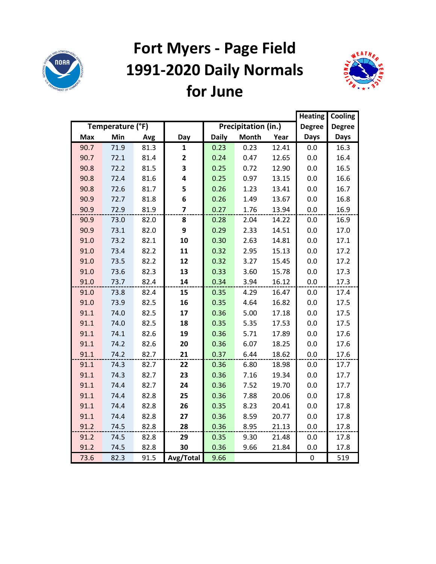

## **Fort Myers - Page Field 1991-2020 Daily Normals for June**



|            |                  |      |                |              |                     |       | <b>Heating</b> | Cooling       |
|------------|------------------|------|----------------|--------------|---------------------|-------|----------------|---------------|
|            | Temperature (°F) |      |                |              | Precipitation (in.) |       | <b>Degree</b>  | <b>Degree</b> |
| <b>Max</b> | Min              | Avg  | Day            | <b>Daily</b> | <b>Month</b>        | Year  | <b>Days</b>    | <b>Days</b>   |
| 90.7       | 71.9             | 81.3 | $\mathbf{1}$   | 0.23         | 0.23                | 12.41 | 0.0            | 16.3          |
| 90.7       | 72.1             | 81.4 | 2              | 0.24         | 0.47                | 12.65 | 0.0            | 16.4          |
| 90.8       | 72.2             | 81.5 | 3              | 0.25         | 0.72                | 12.90 | 0.0            | 16.5          |
| 90.8       | 72.4             | 81.6 | 4              | 0.25         | 0.97                | 13.15 | 0.0            | 16.6          |
| 90.8       | 72.6             | 81.7 | 5              | 0.26         | 1.23                | 13.41 | 0.0            | 16.7          |
| 90.9       | 72.7             | 81.8 | 6              | 0.26         | 1.49                | 13.67 | 0.0            | 16.8          |
| 90.9       | 72.9             | 81.9 | $\overline{7}$ | 0.27         | 1.76                | 13.94 | 0.0            | 16.9          |
| 90.9       | 73.0             | 82.0 | 8              | 0.28         | 2.04                | 14.22 | 0.0            | 16.9          |
| 90.9       | 73.1             | 82.0 | 9              | 0.29         | 2.33                | 14.51 | 0.0            | 17.0          |
| 91.0       | 73.2             | 82.1 | 10             | 0.30         | 2.63                | 14.81 | 0.0            | 17.1          |
| 91.0       | 73.4             | 82.2 | 11             | 0.32         | 2.95                | 15.13 | 0.0            | 17.2          |
| 91.0       | 73.5             | 82.2 | 12             | 0.32         | 3.27                | 15.45 | 0.0            | 17.2          |
| 91.0       | 73.6             | 82.3 | 13             | 0.33         | 3.60                | 15.78 | 0.0            | 17.3          |
| 91.0       | 73.7             | 82.4 | 14             | 0.34         | 3.94                | 16.12 | 0.0            | 17.3          |
| 91.0       | 73.8             | 82.4 | 15             | 0.35         | 4.29                | 16.47 | 0.0            | 17.4          |
| 91.0       | 73.9             | 82.5 | 16             | 0.35         | 4.64                | 16.82 | 0.0            | 17.5          |
| 91.1       | 74.0             | 82.5 | 17             | 0.36         | 5.00                | 17.18 | 0.0            | 17.5          |
| 91.1       | 74.0             | 82.5 | 18             | 0.35         | 5.35                | 17.53 | 0.0            | 17.5          |
| 91.1       | 74.1             | 82.6 | 19             | 0.36         | 5.71                | 17.89 | 0.0            | 17.6          |
| 91.1       | 74.2             | 82.6 | 20             | 0.36         | 6.07                | 18.25 | 0.0            | 17.6          |
| 91.1       | 74.2             | 82.7 | 21             | 0.37         | 6.44                | 18.62 | 0.0            | 17.6          |
| 91.1       | 74.3             | 82.7 | 22             | 0.36         | 6.80                | 18.98 | 0.0            | 17.7          |
| 91.1       | 74.3             | 82.7 | 23             | 0.36         | 7.16                | 19.34 | 0.0            | 17.7          |
| 91.1       | 74.4             | 82.7 | 24             | 0.36         | 7.52                | 19.70 | 0.0            | 17.7          |
| 91.1       | 74.4             | 82.8 | 25             | 0.36         | 7.88                | 20.06 | 0.0            | 17.8          |
| 91.1       | 74.4             | 82.8 | 26             | 0.35         | 8.23                | 20.41 | 0.0            | 17.8          |
| 91.1       | 74.4             | 82.8 | 27             | 0.36         | 8.59                | 20.77 | 0.0            | 17.8          |
| 91.2       | 74.5             | 82.8 | 28             | 0.36         | 8.95                | 21.13 | 0.0            | 17.8          |
| 91.2       | 74.5             | 82.8 | 29             | 0.35         | 9.30                | 21.48 | 0.0            | 17.8          |
| 91.2       | 74.5             | 82.8 | 30             | 0.36         | 9.66                | 21.84 | 0.0            | 17.8          |
| 73.6       | 82.3             | 91.5 | Avg/Total      | 9.66         |                     |       | $\pmb{0}$      | 519           |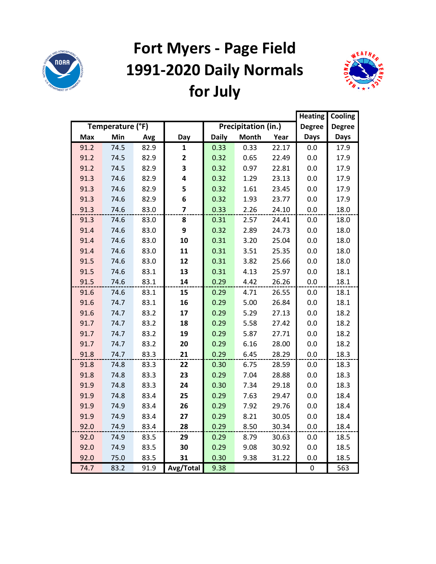

# **Fort Myers - Page Field 1991-2020 Daily Normals for July**



|            |                  | <b>Heating</b> | Cooling                 |              |                     |       |               |               |
|------------|------------------|----------------|-------------------------|--------------|---------------------|-------|---------------|---------------|
|            | Temperature (°F) |                |                         |              | Precipitation (in.) |       | <b>Degree</b> | <b>Degree</b> |
| <b>Max</b> | Min              | Avg            | Day                     | <b>Daily</b> | <b>Month</b>        | Year  | <b>Days</b>   | <b>Days</b>   |
| 91.2       | 74.5             | 82.9           | 1                       | 0.33         | 0.33                | 22.17 | 0.0           | 17.9          |
| 91.2       | 74.5             | 82.9           | $\mathbf{2}$            | 0.32         | 0.65                | 22.49 | 0.0           | 17.9          |
| 91.2       | 74.5             | 82.9           | 3                       | 0.32         | 0.97                | 22.81 | 0.0           | 17.9          |
| 91.3       | 74.6             | 82.9           | 4                       | 0.32         | 1.29                | 23.13 | 0.0           | 17.9          |
| 91.3       | 74.6             | 82.9           | 5                       | 0.32         | 1.61                | 23.45 | 0.0           | 17.9          |
| 91.3       | 74.6             | 82.9           | 6                       | 0.32         | 1.93                | 23.77 | 0.0           | 17.9          |
| 91.3       | 74.6             | 83.0           | $\overline{\mathbf{z}}$ | 0.33         | 2.26                | 24.10 | 0.0           | 18.0          |
| 91.3       | 74.6             | 83.0           | 8                       | 0.31         | 2.57                | 24.41 | 0.0           | 18.0          |
| 91.4       | 74.6             | 83.0           | 9                       | 0.32         | 2.89                | 24.73 | 0.0           | 18.0          |
| 91.4       | 74.6             | 83.0           | 10                      | 0.31         | 3.20                | 25.04 | 0.0           | 18.0          |
| 91.4       | 74.6             | 83.0           | 11                      | 0.31         | 3.51                | 25.35 | 0.0           | 18.0          |
| 91.5       | 74.6             | 83.0           | 12                      | 0.31         | 3.82                | 25.66 | 0.0           | 18.0          |
| 91.5       | 74.6             | 83.1           | 13                      | 0.31         | 4.13                | 25.97 | 0.0           | 18.1          |
| 91.5       | 74.6             | 83.1           | 14                      | 0.29         | 4.42                | 26.26 | 0.0           | 18.1          |
| 91.6       | 74.6             | 83.1           | 15                      | 0.29         | 4.71                | 26.55 | 0.0           | 18.1          |
| 91.6       | 74.7             | 83.1           | 16                      | 0.29         | 5.00                | 26.84 | 0.0           | 18.1          |
| 91.6       | 74.7             | 83.2           | 17                      | 0.29         | 5.29                | 27.13 | 0.0           | 18.2          |
| 91.7       | 74.7             | 83.2           | 18                      | 0.29         | 5.58                | 27.42 | 0.0           | 18.2          |
| 91.7       | 74.7             | 83.2           | 19                      | 0.29         | 5.87                | 27.71 | 0.0           | 18.2          |
| 91.7       | 74.7             | 83.2           | 20                      | 0.29         | 6.16                | 28.00 | 0.0           | 18.2          |
| 91.8       | 74.7             | 83.3           | 21                      | 0.29         | 6.45                | 28.29 | 0.0           | 18.3          |
| 91.8       | 74.8             | 83.3           | 22                      | 0.30         | 6.75                | 28.59 | 0.0           | 18.3          |
| 91.8       | 74.8             | 83.3           | 23                      | 0.29         | 7.04                | 28.88 | 0.0           | 18.3          |
| 91.9       | 74.8             | 83.3           | 24                      | 0.30         | 7.34                | 29.18 | 0.0           | 18.3          |
| 91.9       | 74.8             | 83.4           | 25                      | 0.29         | 7.63                | 29.47 | 0.0           | 18.4          |
| 91.9       | 74.9             | 83.4           | 26                      | 0.29         | 7.92                | 29.76 | 0.0           | 18.4          |
| 91.9       | 74.9             | 83.4           | 27                      | 0.29         | 8.21                | 30.05 | 0.0           | 18.4          |
| 92.0       | 74.9             | 83.4           | 28                      | 0.29         | 8.50                | 30.34 | 0.0           | 18.4          |
| 92.0       | 74.9             | 83.5           | 29                      | 0.29         | 8.79                | 30.63 | 0.0           | 18.5          |
| 92.0       | 74.9             | 83.5           | 30                      | 0.29         | 9.08                | 30.92 | 0.0           | 18.5          |
| 92.0       | 75.0             | 83.5           | 31                      | 0.30         | 9.38                | 31.22 | 0.0           | 18.5          |
| 74.7       | 83.2             | 91.9           | Avg/Total               | 9.38         |                     |       | $\pmb{0}$     | 563           |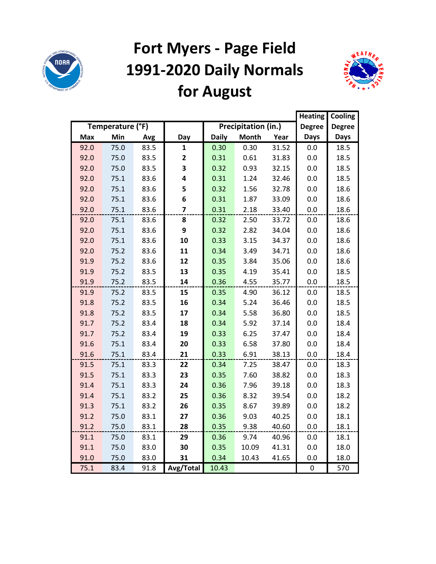

# **Fort Myers - Page Field 1991-2020 Daily Normals for August**



|            |                  |      |              |              |                     |       | <b>Heating</b> | Cooling       |
|------------|------------------|------|--------------|--------------|---------------------|-------|----------------|---------------|
|            | Temperature (°F) |      |              |              | Precipitation (in.) |       | <b>Degree</b>  | <b>Degree</b> |
| <b>Max</b> | Min              | Avg  | Day          | <b>Daily</b> | <b>Month</b>        | Year  | <b>Days</b>    | <b>Days</b>   |
| 92.0       | 75.0             | 83.5 | 1            | 0.30         | 0.30                | 31.52 | 0.0            | 18.5          |
| 92.0       | 75.0             | 83.5 | $\mathbf{2}$ | 0.31         | 0.61                | 31.83 | 0.0            | 18.5          |
| 92.0       | 75.0             | 83.5 | 3            | 0.32         | 0.93                | 32.15 | 0.0            | 18.5          |
| 92.0       | 75.1             | 83.6 | 4            | 0.31         | 1.24                | 32.46 | 0.0            | 18.5          |
| 92.0       | 75.1             | 83.6 | 5            | 0.32         | 1.56                | 32.78 | 0.0            | 18.6          |
| 92.0       | 75.1             | 83.6 | 6            | 0.31         | 1.87                | 33.09 | 0.0            | 18.6          |
| 92.0       | 75.1             | 83.6 | 7            | 0.31         | 2.18                | 33.40 | 0.0            | 18.6          |
| 92.0       | 75.1             | 83.6 | 8            | 0.32         | 2.50                | 33.72 | 0.0            | 18.6          |
| 92.0       | 75.1             | 83.6 | 9            | 0.32         | 2.82                | 34.04 | 0.0            | 18.6          |
| 92.0       | 75.1             | 83.6 | 10           | 0.33         | 3.15                | 34.37 | 0.0            | 18.6          |
| 92.0       | 75.2             | 83.6 | 11           | 0.34         | 3.49                | 34.71 | 0.0            | 18.6          |
| 91.9       | 75.2             | 83.6 | 12           | 0.35         | 3.84                | 35.06 | 0.0            | 18.6          |
| 91.9       | 75.2             | 83.5 | 13           | 0.35         | 4.19                | 35.41 | 0.0            | 18.5          |
| 91.9       | 75.2             | 83.5 | 14           | 0.36         | 4.55                | 35.77 | 0.0            | 18.5          |
| 91.9       | 75.2             | 83.5 | 15           | 0.35         | 4.90                | 36.12 | 0.0            | 18.5          |
| 91.8       | 75.2             | 83.5 | 16           | 0.34         | 5.24                | 36.46 | 0.0            | 18.5          |
| 91.8       | 75.2             | 83.5 | 17           | 0.34         | 5.58                | 36.80 | 0.0            | 18.5          |
| 91.7       | 75.2             | 83.4 | 18           | 0.34         | 5.92                | 37.14 | 0.0            | 18.4          |
| 91.7       | 75.2             | 83.4 | 19           | 0.33         | 6.25                | 37.47 | 0.0            | 18.4          |
| 91.6       | 75.1             | 83.4 | 20           | 0.33         | 6.58                | 37.80 | 0.0            | 18.4          |
| 91.6       | 75.1             | 83.4 | 21           | 0.33         | 6.91                | 38.13 | 0.0            | 18.4          |
| 91.5       | 75.1             | 83.3 | 22           | 0.34         | 7.25                | 38.47 | 0.0            | 18.3          |
| 91.5       | 75.1             | 83.3 | 23           | 0.35         | 7.60                | 38.82 | 0.0            | 18.3          |
| 91.4       | 75.1             | 83.3 | 24           | 0.36         | 7.96                | 39.18 | 0.0            | 18.3          |
| 91.4       | 75.1             | 83.2 | 25           | 0.36         | 8.32                | 39.54 | 0.0            | 18.2          |
| 91.3       | 75.1             | 83.2 | 26           | 0.35         | 8.67                | 39.89 | 0.0            | 18.2          |
| 91.2       | 75.0             | 83.1 | 27           | 0.36         | 9.03                | 40.25 | 0.0            | 18.1          |
| 91.2       | 75.0             | 83.1 | 28           | 0.35         | 9.38                | 40.60 | 0.0            | 18.1          |
| 91.1       | 75.0             | 83.1 | 29           | 0.36         | 9.74                | 40.96 | 0.0            | 18.1          |
| 91.1       | 75.0             | 83.0 | 30           | 0.35         | 10.09               | 41.31 | 0.0            | 18.0          |
| 91.0       | 75.0             | 83.0 | 31           | 0.34         | 10.43               | 41.65 | 0.0            | 18.0          |
| 75.1       | 83.4             | 91.8 | Avg/Total    | 10.43        |                     |       | 0              | 570           |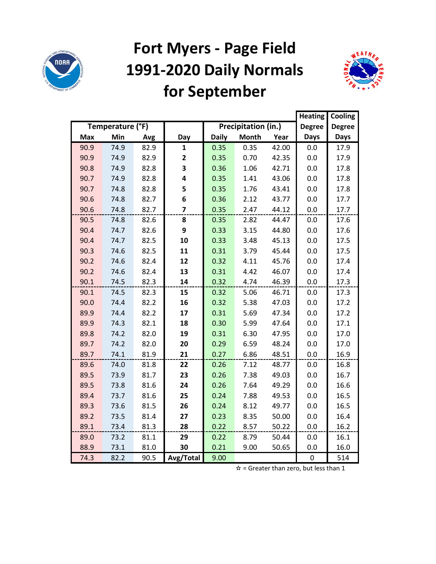

### **Fort Myers - Page Field 1991-2020 Daily Normals for September**



|            |                  |      |                |              |                     |       | <b>Heating</b> | Cooling       |
|------------|------------------|------|----------------|--------------|---------------------|-------|----------------|---------------|
|            | Temperature (°F) |      |                |              | Precipitation (in.) |       | <b>Degree</b>  | <b>Degree</b> |
| <b>Max</b> | Min              | Avg  | Day            | <b>Daily</b> | <b>Month</b>        | Year  | <b>Days</b>    | <b>Days</b>   |
| 90.9       | 74.9             | 82.9 | $\mathbf{1}$   | 0.35         | 0.35                | 42.00 | 0.0            | 17.9          |
| 90.9       | 74.9             | 82.9 | 2              | 0.35         | 0.70                | 42.35 | 0.0            | 17.9          |
| 90.8       | 74.9             | 82.8 | 3              | 0.36         | 1.06                | 42.71 | 0.0            | 17.8          |
| 90.7       | 74.9             | 82.8 | 4              | 0.35         | 1.41                | 43.06 | 0.0            | 17.8          |
| 90.7       | 74.8             | 82.8 | 5              | 0.35         | 1.76                | 43.41 | 0.0            | 17.8          |
| 90.6       | 74.8             | 82.7 | 6              | 0.36         | 2.12                | 43.77 | 0.0            | 17.7          |
| 90.6       | 74.8             | 82.7 | $\overline{7}$ | 0.35         | 2.47                | 44.12 | 0.0            | 17.7          |
| 90.5       | 74.8             | 82.6 | 8              | 0.35         | 2.82                | 44.47 | 0.0            | 17.6          |
| 90.4       | 74.7             | 82.6 | 9              | 0.33         | 3.15                | 44.80 | 0.0            | 17.6          |
| 90.4       | 74.7             | 82.5 | 10             | 0.33         | 3.48                | 45.13 | 0.0            | 17.5          |
| 90.3       | 74.6             | 82.5 | 11             | 0.31         | 3.79                | 45.44 | 0.0            | 17.5          |
| 90.2       | 74.6             | 82.4 | 12             | 0.32         | 4.11                | 45.76 | 0.0            | 17.4          |
| 90.2       | 74.6             | 82.4 | 13             | 0.31         | 4.42                | 46.07 | 0.0            | 17.4          |
| 90.1       | 74.5             | 82.3 | 14             | 0.32         | 4.74                | 46.39 | 0.0            | 17.3          |
| 90.1       | 74.5             | 82.3 | 15             | 0.32         | 5.06                | 46.71 | 0.0            | 17.3          |
| 90.0       | 74.4             | 82.2 | 16             | 0.32         | 5.38                | 47.03 | 0.0            | 17.2          |
| 89.9       | 74.4             | 82.2 | 17             | 0.31         | 5.69                | 47.34 | 0.0            | 17.2          |
| 89.9       | 74.3             | 82.1 | 18             | 0.30         | 5.99                | 47.64 | 0.0            | 17.1          |
| 89.8       | 74.2             | 82.0 | 19             | 0.31         | 6.30                | 47.95 | 0.0            | 17.0          |
| 89.7       | 74.2             | 82.0 | 20             | 0.29         | 6.59                | 48.24 | 0.0            | 17.0          |
| 89.7       | 74.1             | 81.9 | 21             | 0.27         | 6.86                | 48.51 | 0.0            | 16.9          |
| 89.6       | 74.0             | 81.8 | 22             | 0.26         | 7.12                | 48.77 | 0.0            | 16.8          |
| 89.5       | 73.9             | 81.7 | 23             | 0.26         | 7.38                | 49.03 | 0.0            | 16.7          |
| 89.5       | 73.8             | 81.6 | 24             | 0.26         | 7.64                | 49.29 | 0.0            | 16.6          |
| 89.4       | 73.7             | 81.6 | 25             | 0.24         | 7.88                | 49.53 | 0.0            | 16.5          |
| 89.3       | 73.6             | 81.5 | 26             | 0.24         | 8.12                | 49.77 | 0.0            | 16.5          |
| 89.2       | 73.5             | 81.4 | 27             | 0.23         | 8.35                | 50.00 | 0.0            | 16.4          |
| 89.1       | 73.4             | 81.3 | 28             | 0.22         | 8.57                | 50.22 | 0.0            | 16.2          |
| 89.0       | 73.2             | 81.1 | 29             | 0.22         | 8.79                | 50.44 | 0.0            | 16.1          |
| 88.9       | 73.1             | 81.0 | 30             | 0.21         | 9.00                | 50.65 | 0.0            | 16.0          |
| 74.3       | 82.2             | 90.5 | Avg/Total      | 9.00         |                     |       | $\mathbf 0$    | 514           |

 $\mathbf{\dot{x}}$  = Greater than zero, but less than 1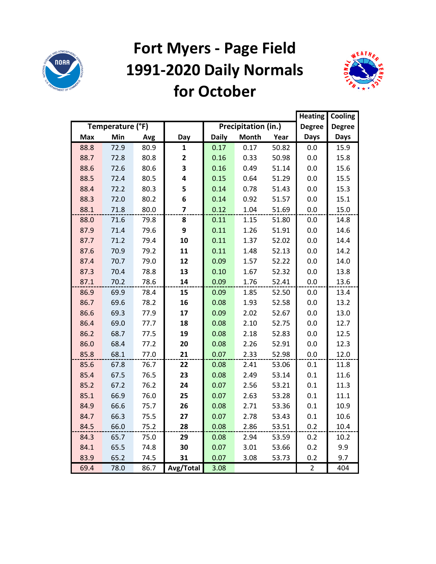

#### **Fort Myers - Page Field 1991-2020 Daily Normals for October**



|            |                  |      |              |              |                     |       | <b>Heating</b> | Cooling       |
|------------|------------------|------|--------------|--------------|---------------------|-------|----------------|---------------|
|            | Temperature (°F) |      |              |              | Precipitation (in.) |       | <b>Degree</b>  | <b>Degree</b> |
| <b>Max</b> | Min              | Avg  | Day          | <b>Daily</b> | <b>Month</b>        | Year  | <b>Days</b>    | <b>Days</b>   |
| 88.8       | 72.9             | 80.9 | 1            | 0.17         | 0.17                | 50.82 | 0.0            | 15.9          |
| 88.7       | 72.8             | 80.8 | $\mathbf{2}$ | 0.16         | 0.33                | 50.98 | 0.0            | 15.8          |
| 88.6       | 72.6             | 80.6 | 3            | 0.16         | 0.49                | 51.14 | 0.0            | 15.6          |
| 88.5       | 72.4             | 80.5 | 4            | 0.15         | 0.64                | 51.29 | 0.0            | 15.5          |
| 88.4       | 72.2             | 80.3 | 5            | 0.14         | 0.78                | 51.43 | 0.0            | 15.3          |
| 88.3       | 72.0             | 80.2 | 6            | 0.14         | 0.92                | 51.57 | 0.0            | 15.1          |
| 88.1       | 71.8             | 80.0 | 7            | 0.12         | 1.04                | 51.69 | 0.0            | 15.0          |
| 88.0       | 71.6             | 79.8 | 8            | 0.11         | 1.15                | 51.80 | 0.0            | 14.8          |
| 87.9       | 71.4             | 79.6 | 9            | 0.11         | 1.26                | 51.91 | 0.0            | 14.6          |
| 87.7       | 71.2             | 79.4 | 10           | 0.11         | 1.37                | 52.02 | 0.0            | 14.4          |
| 87.6       | 70.9             | 79.2 | 11           | 0.11         | 1.48                | 52.13 | 0.0            | 14.2          |
| 87.4       | 70.7             | 79.0 | 12           | 0.09         | 1.57                | 52.22 | 0.0            | 14.0          |
| 87.3       | 70.4             | 78.8 | 13           | 0.10         | 1.67                | 52.32 | 0.0            | 13.8          |
| 87.1       | 70.2             | 78.6 | 14           | 0.09         | 1.76                | 52.41 | 0.0            | 13.6          |
| 86.9       | 69.9             | 78.4 | 15           | 0.09         | 1.85                | 52.50 | 0.0            | 13.4          |
| 86.7       | 69.6             | 78.2 | 16           | 0.08         | 1.93                | 52.58 | 0.0            | 13.2          |
| 86.6       | 69.3             | 77.9 | 17           | 0.09         | 2.02                | 52.67 | 0.0            | 13.0          |
| 86.4       | 69.0             | 77.7 | 18           | 0.08         | 2.10                | 52.75 | 0.0            | 12.7          |
| 86.2       | 68.7             | 77.5 | 19           | 0.08         | 2.18                | 52.83 | 0.0            | 12.5          |
| 86.0       | 68.4             | 77.2 | 20           | 0.08         | 2.26                | 52.91 | 0.0            | 12.3          |
| 85.8       | 68.1             | 77.0 | 21           | 0.07         | 2.33                | 52.98 | 0.0            | 12.0          |
| 85.6       | 67.8             | 76.7 | 22           | 0.08         | 2.41                | 53.06 | 0.1            | 11.8          |
| 85.4       | 67.5             | 76.5 | 23           | 0.08         | 2.49                | 53.14 | 0.1            | 11.6          |
| 85.2       | 67.2             | 76.2 | 24           | 0.07         | 2.56                | 53.21 | 0.1            | 11.3          |
| 85.1       | 66.9             | 76.0 | 25           | 0.07         | 2.63                | 53.28 | 0.1            | 11.1          |
| 84.9       | 66.6             | 75.7 | 26           | 0.08         | 2.71                | 53.36 | 0.1            | 10.9          |
| 84.7       | 66.3             | 75.5 | 27           | 0.07         | 2.78                | 53.43 | 0.1            | 10.6          |
| 84.5       | 66.0             | 75.2 | 28           | 0.08         | 2.86                | 53.51 | 0.2            | 10.4          |
| 84.3       | 65.7             | 75.0 | 29           | 0.08         | 2.94                | 53.59 | 0.2            | 10.2          |
| 84.1       | 65.5             | 74.8 | 30           | 0.07         | 3.01                | 53.66 | 0.2            | 9.9           |
| 83.9       | 65.2             | 74.5 | 31           | 0.07         | 3.08                | 53.73 | 0.2            | 9.7           |
| 69.4       | 78.0             | 86.7 | Avg/Total    | 3.08         |                     |       | $\overline{2}$ | 404           |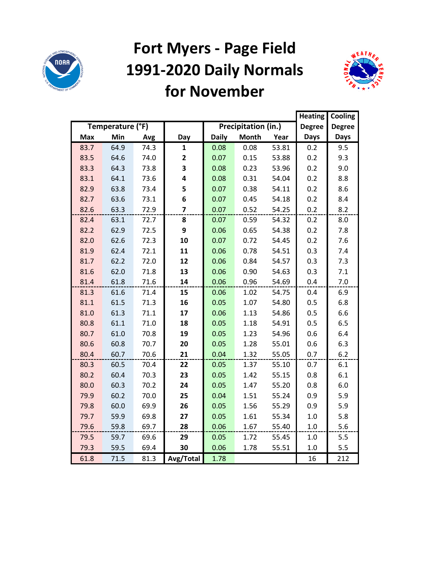

#### **Fort Myers - Page Field 1991-2020 Daily Normals for November**



|            |                  |      |                |              |                     |       | <b>Heating</b> | Cooling       |
|------------|------------------|------|----------------|--------------|---------------------|-------|----------------|---------------|
|            | Temperature (°F) |      |                |              | Precipitation (in.) |       | <b>Degree</b>  | <b>Degree</b> |
| <b>Max</b> | Min              | Avg  | Day            | <b>Daily</b> | <b>Month</b>        | Year  | <b>Days</b>    | <b>Days</b>   |
| 83.7       | 64.9             | 74.3 | $\mathbf{1}$   | 0.08         | 0.08                | 53.81 | 0.2            | 9.5           |
| 83.5       | 64.6             | 74.0 | $\mathbf{2}$   | 0.07         | 0.15                | 53.88 | 0.2            | 9.3           |
| 83.3       | 64.3             | 73.8 | 3              | 0.08         | 0.23                | 53.96 | 0.2            | 9.0           |
| 83.1       | 64.1             | 73.6 | 4              | 0.08         | 0.31                | 54.04 | 0.2            | 8.8           |
| 82.9       | 63.8             | 73.4 | 5              | 0.07         | 0.38                | 54.11 | 0.2            | 8.6           |
| 82.7       | 63.6             | 73.1 | 6              | 0.07         | 0.45                | 54.18 | 0.2            | 8.4           |
| 82.6       | 63.3             | 72.9 | $\overline{z}$ | 0.07         | 0.52                | 54.25 | 0.2            | 8.2           |
| 82.4       | 63.1             | 72.7 | 8              | 0.07         | 0.59                | 54.32 | 0.2            | 8.0           |
| 82.2       | 62.9             | 72.5 | 9              | 0.06         | 0.65                | 54.38 | 0.2            | 7.8           |
| 82.0       | 62.6             | 72.3 | 10             | 0.07         | 0.72                | 54.45 | 0.2            | 7.6           |
| 81.9       | 62.4             | 72.1 | 11             | 0.06         | 0.78                | 54.51 | 0.3            | 7.4           |
| 81.7       | 62.2             | 72.0 | 12             | 0.06         | 0.84                | 54.57 | 0.3            | 7.3           |
| 81.6       | 62.0             | 71.8 | 13             | 0.06         | 0.90                | 54.63 | 0.3            | 7.1           |
| 81.4       | 61.8             | 71.6 | 14             | 0.06         | 0.96                | 54.69 | 0.4            | 7.0           |
| 81.3       | 61.6             | 71.4 | 15             | 0.06         | 1.02                | 54.75 | 0.4            | 6.9           |
| 81.1       | 61.5             | 71.3 | 16             | 0.05         | 1.07                | 54.80 | 0.5            | 6.8           |
| 81.0       | 61.3             | 71.1 | 17             | 0.06         | 1.13                | 54.86 | 0.5            | 6.6           |
| 80.8       | 61.1             | 71.0 | 18             | 0.05         | 1.18                | 54.91 | 0.5            | 6.5           |
| 80.7       | 61.0             | 70.8 | 19             | 0.05         | 1.23                | 54.96 | 0.6            | 6.4           |
| 80.6       | 60.8             | 70.7 | 20             | 0.05         | 1.28                | 55.01 | 0.6            | 6.3           |
| 80.4       | 60.7             | 70.6 | 21             | 0.04         | 1.32                | 55.05 | 0.7            | 6.2           |
| 80.3       | 60.5             | 70.4 | 22             | 0.05         | 1.37                | 55.10 | 0.7            | 6.1           |
| 80.2       | 60.4             | 70.3 | 23             | 0.05         | 1.42                | 55.15 | 0.8            | 6.1           |
| 80.0       | 60.3             | 70.2 | 24             | 0.05         | 1.47                | 55.20 | 0.8            | 6.0           |
| 79.9       | 60.2             | 70.0 | 25             | 0.04         | 1.51                | 55.24 | 0.9            | 5.9           |
| 79.8       | 60.0             | 69.9 | 26             | 0.05         | 1.56                | 55.29 | 0.9            | 5.9           |
| 79.7       | 59.9             | 69.8 | 27             | 0.05         | 1.61                | 55.34 | 1.0            | 5.8           |
| 79.6       | 59.8             | 69.7 | 28             | 0.06         | 1.67                | 55.40 | $1.0\,$        | 5.6           |
| 79.5       | 59.7             | 69.6 | 29             | 0.05         | 1.72                | 55.45 | 1.0            | 5.5           |
| 79.3       | 59.5             | 69.4 | 30             | 0.06         | 1.78                | 55.51 | 1.0            | 5.5           |
| 61.8       | 71.5             | 81.3 | Avg/Total      | 1.78         |                     |       | 16             | 212           |